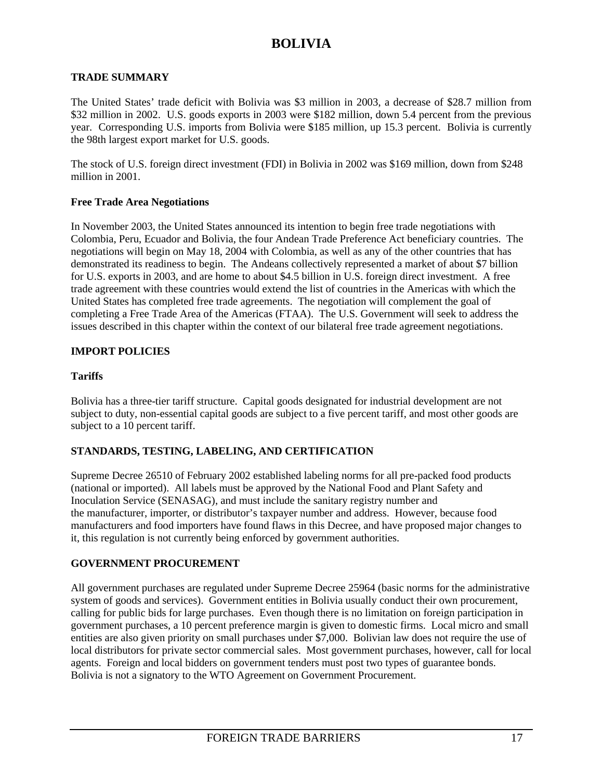# **BOLIVIA**

#### **TRADE SUMMARY**

The United States' trade deficit with Bolivia was \$3 million in 2003, a decrease of \$28.7 million from \$32 million in 2002. U.S. goods exports in 2003 were \$182 million, down 5.4 percent from the previous year. Corresponding U.S. imports from Bolivia were \$185 million, up 15.3 percent. Bolivia is currently the 98th largest export market for U.S. goods.

The stock of U.S. foreign direct investment (FDI) in Bolivia in 2002 was \$169 million, down from \$248 million in 2001.

#### **Free Trade Area Negotiations**

In November 2003, the United States announced its intention to begin free trade negotiations with Colombia, Peru, Ecuador and Bolivia, the four Andean Trade Preference Act beneficiary countries. The negotiations will begin on May 18, 2004 with Colombia, as well as any of the other countries that has demonstrated its readiness to begin. The Andeans collectively represented a market of about \$7 billion for U.S. exports in 2003, and are home to about \$4.5 billion in U.S. foreign direct investment. A free trade agreement with these countries would extend the list of countries in the Americas with which the United States has completed free trade agreements. The negotiation will complement the goal of completing a Free Trade Area of the Americas (FTAA). The U.S. Government will seek to address the issues described in this chapter within the context of our bilateral free trade agreement negotiations.

#### **IMPORT POLICIES**

#### **Tariffs**

Bolivia has a three-tier tariff structure. Capital goods designated for industrial development are not subject to duty, non-essential capital goods are subject to a five percent tariff, and most other goods are subject to a 10 percent tariff.

#### **STANDARDS, TESTING, LABELING, AND CERTIFICATION**

Supreme Decree 26510 of February 2002 established labeling norms for all pre-packed food products (national or imported). All labels must be approved by the National Food and Plant Safety and Inoculation Service (SENASAG), and must include the sanitary registry number and the manufacturer, importer, or distributor's taxpayer number and address. However, because food manufacturers and food importers have found flaws in this Decree, and have proposed major changes to it, this regulation is not currently being enforced by government authorities.

#### **GOVERNMENT PROCUREMENT**

All government purchases are regulated under Supreme Decree 25964 (basic norms for the administrative system of goods and services). Government entities in Bolivia usually conduct their own procurement, calling for public bids for large purchases. Even though there is no limitation on foreign participation in government purchases, a 10 percent preference margin is given to domestic firms. Local micro and small entities are also given priority on small purchases under \$7,000. Bolivian law does not require the use of local distributors for private sector commercial sales. Most government purchases, however, call for local agents. Foreign and local bidders on government tenders must post two types of guarantee bonds. Bolivia is not a signatory to the WTO Agreement on Government Procurement.